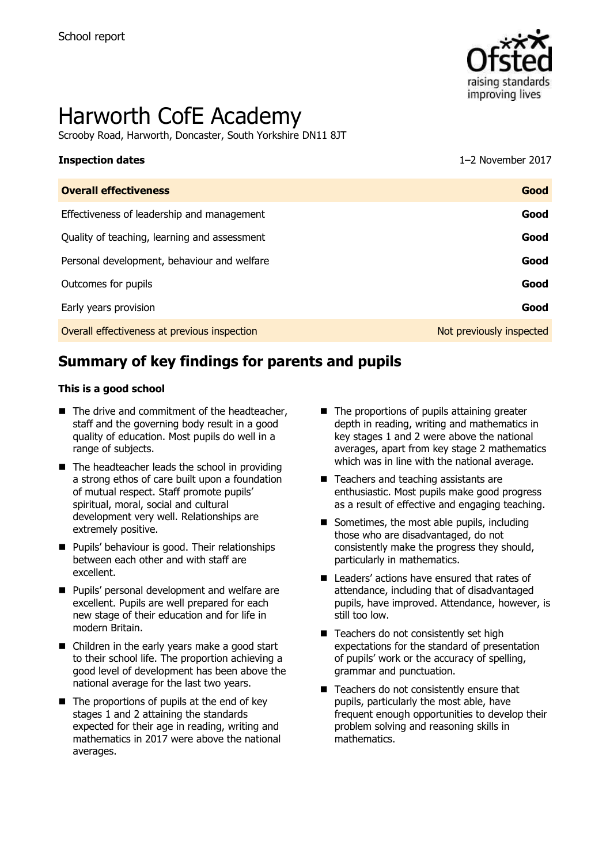

# Harworth CofE Academy

Scrooby Road, Harworth, Doncaster, South Yorkshire DN11 8JT

# **Inspection dates** 1–2 November 2017

| <b>Overall effectiveness</b>                 | Good                     |
|----------------------------------------------|--------------------------|
| Effectiveness of leadership and management   | Good                     |
| Quality of teaching, learning and assessment | Good                     |
| Personal development, behaviour and welfare  | Good                     |
| Outcomes for pupils                          | Good                     |
| Early years provision                        | Good                     |
| Overall effectiveness at previous inspection | Not previously inspected |

# **Summary of key findings for parents and pupils**

#### **This is a good school**

- $\blacksquare$  The drive and commitment of the headteacher, staff and the governing body result in a good quality of education. Most pupils do well in a range of subjects.
- $\blacksquare$  The headteacher leads the school in providing a strong ethos of care built upon a foundation of mutual respect. Staff promote pupils' spiritual, moral, social and cultural development very well. Relationships are extremely positive.
- **Pupils' behaviour is good. Their relationships** between each other and with staff are excellent.
- **Pupils' personal development and welfare are** excellent. Pupils are well prepared for each new stage of their education and for life in modern Britain.
- Children in the early years make a good start to their school life. The proportion achieving a good level of development has been above the national average for the last two years.
- $\blacksquare$  The proportions of pupils at the end of key stages 1 and 2 attaining the standards expected for their age in reading, writing and mathematics in 2017 were above the national averages.
- $\blacksquare$  The proportions of pupils attaining greater depth in reading, writing and mathematics in key stages 1 and 2 were above the national averages, apart from key stage 2 mathematics which was in line with the national average.
- Teachers and teaching assistants are enthusiastic. Most pupils make good progress as a result of effective and engaging teaching.
- Sometimes, the most able pupils, including those who are disadvantaged, do not consistently make the progress they should, particularly in mathematics.
- Leaders' actions have ensured that rates of attendance, including that of disadvantaged pupils, have improved. Attendance, however, is still too low.
- Teachers do not consistently set high expectations for the standard of presentation of pupils' work or the accuracy of spelling, grammar and punctuation.
- Teachers do not consistently ensure that pupils, particularly the most able, have frequent enough opportunities to develop their problem solving and reasoning skills in mathematics.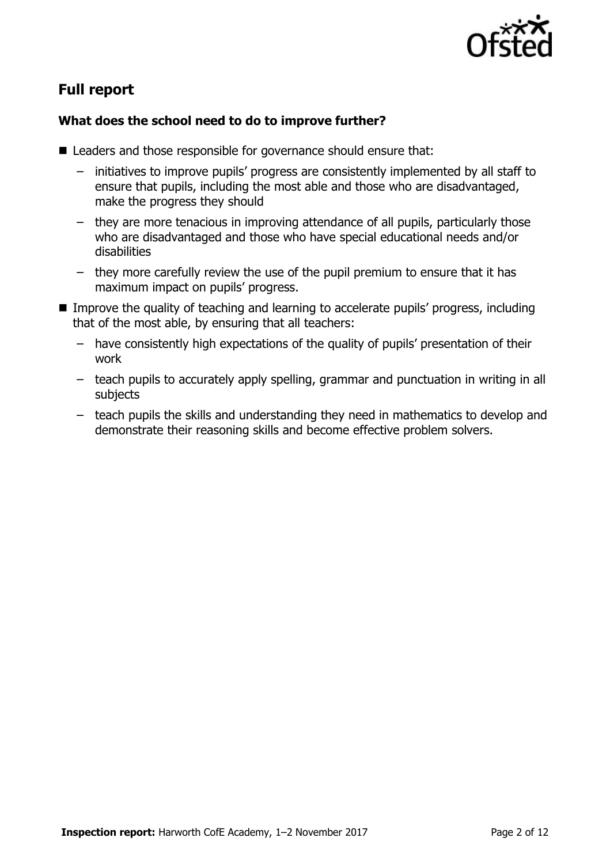

# **Full report**

### **What does the school need to do to improve further?**

- Leaders and those responsible for governance should ensure that:
	- initiatives to improve pupils' progress are consistently implemented by all staff to ensure that pupils, including the most able and those who are disadvantaged, make the progress they should
	- they are more tenacious in improving attendance of all pupils, particularly those who are disadvantaged and those who have special educational needs and/or disabilities
	- they more carefully review the use of the pupil premium to ensure that it has maximum impact on pupils' progress.
- **IMPROVE the quality of teaching and learning to accelerate pupils' progress, including** that of the most able, by ensuring that all teachers:
	- have consistently high expectations of the quality of pupils' presentation of their work
	- teach pupils to accurately apply spelling, grammar and punctuation in writing in all subjects
	- teach pupils the skills and understanding they need in mathematics to develop and demonstrate their reasoning skills and become effective problem solvers.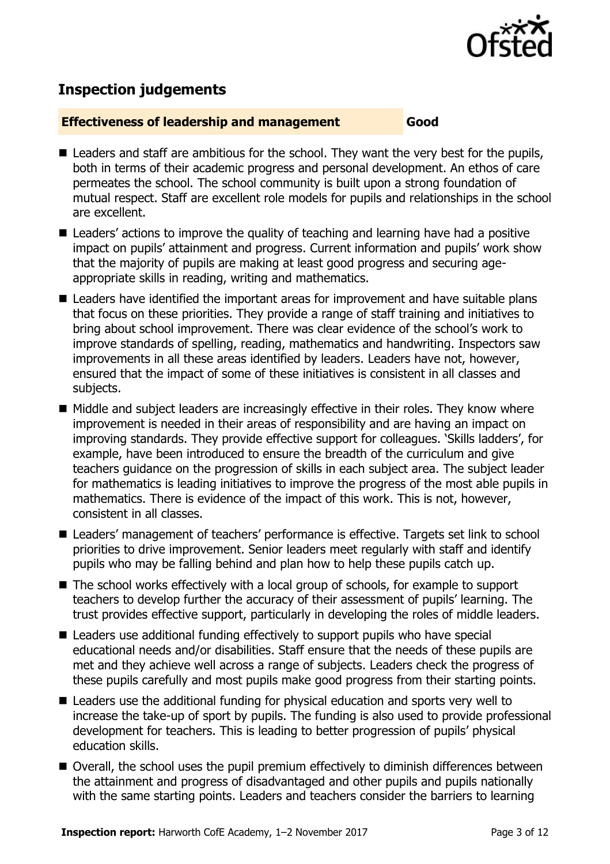

# **Inspection judgements**

#### **Effectiveness of leadership and management Good**

- Leaders and staff are ambitious for the school. They want the very best for the pupils, both in terms of their academic progress and personal development. An ethos of care permeates the school. The school community is built upon a strong foundation of mutual respect. Staff are excellent role models for pupils and relationships in the school are excellent.
- Leaders' actions to improve the quality of teaching and learning have had a positive impact on pupils' attainment and progress. Current information and pupils' work show that the majority of pupils are making at least good progress and securing ageappropriate skills in reading, writing and mathematics.
- Leaders have identified the important areas for improvement and have suitable plans that focus on these priorities. They provide a range of staff training and initiatives to bring about school improvement. There was clear evidence of the school's work to improve standards of spelling, reading, mathematics and handwriting. Inspectors saw improvements in all these areas identified by leaders. Leaders have not, however, ensured that the impact of some of these initiatives is consistent in all classes and subjects.
- Middle and subject leaders are increasingly effective in their roles. They know where improvement is needed in their areas of responsibility and are having an impact on improving standards. They provide effective support for colleagues. 'Skills ladders', for example, have been introduced to ensure the breadth of the curriculum and give teachers guidance on the progression of skills in each subject area. The subject leader for mathematics is leading initiatives to improve the progress of the most able pupils in mathematics. There is evidence of the impact of this work. This is not, however, consistent in all classes.
- Leaders' management of teachers' performance is effective. Targets set link to school priorities to drive improvement. Senior leaders meet regularly with staff and identify pupils who may be falling behind and plan how to help these pupils catch up.
- The school works effectively with a local group of schools, for example to support teachers to develop further the accuracy of their assessment of pupils' learning. The trust provides effective support, particularly in developing the roles of middle leaders.
- Leaders use additional funding effectively to support pupils who have special educational needs and/or disabilities. Staff ensure that the needs of these pupils are met and they achieve well across a range of subjects. Leaders check the progress of these pupils carefully and most pupils make good progress from their starting points.
- Leaders use the additional funding for physical education and sports very well to increase the take-up of sport by pupils. The funding is also used to provide professional development for teachers. This is leading to better progression of pupils' physical education skills.
- Overall, the school uses the pupil premium effectively to diminish differences between the attainment and progress of disadvantaged and other pupils and pupils nationally with the same starting points. Leaders and teachers consider the barriers to learning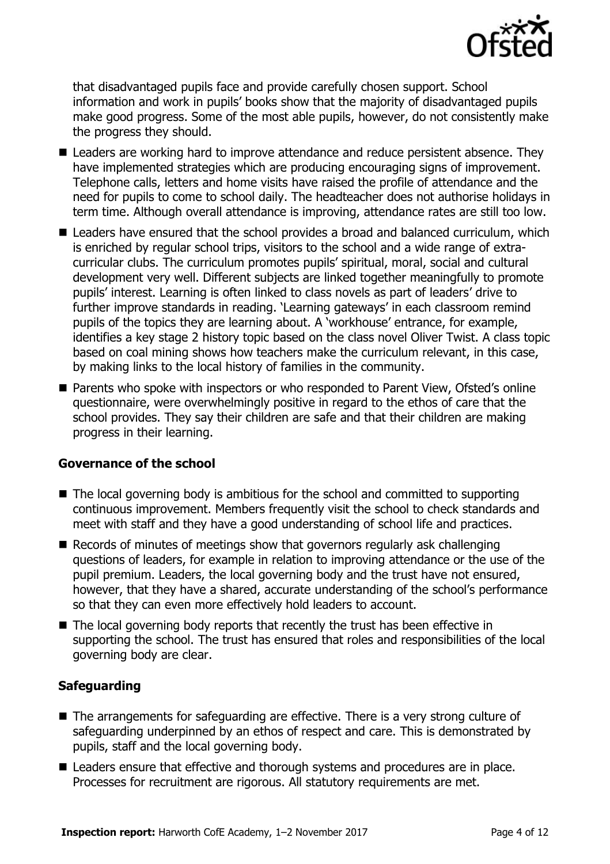

that disadvantaged pupils face and provide carefully chosen support. School information and work in pupils' books show that the majority of disadvantaged pupils make good progress. Some of the most able pupils, however, do not consistently make the progress they should.

- **Leaders are working hard to improve attendance and reduce persistent absence. They** have implemented strategies which are producing encouraging signs of improvement. Telephone calls, letters and home visits have raised the profile of attendance and the need for pupils to come to school daily. The headteacher does not authorise holidays in term time. Although overall attendance is improving, attendance rates are still too low.
- Leaders have ensured that the school provides a broad and balanced curriculum, which is enriched by regular school trips, visitors to the school and a wide range of extracurricular clubs. The curriculum promotes pupils' spiritual, moral, social and cultural development very well. Different subjects are linked together meaningfully to promote pupils' interest. Learning is often linked to class novels as part of leaders' drive to further improve standards in reading. 'Learning gateways' in each classroom remind pupils of the topics they are learning about. A 'workhouse' entrance, for example, identifies a key stage 2 history topic based on the class novel Oliver Twist. A class topic based on coal mining shows how teachers make the curriculum relevant, in this case, by making links to the local history of families in the community.
- Parents who spoke with inspectors or who responded to Parent View, Ofsted's online questionnaire, were overwhelmingly positive in regard to the ethos of care that the school provides. They say their children are safe and that their children are making progress in their learning.

#### **Governance of the school**

- $\blacksquare$  The local governing body is ambitious for the school and committed to supporting continuous improvement. Members frequently visit the school to check standards and meet with staff and they have a good understanding of school life and practices.
- Records of minutes of meetings show that governors regularly ask challenging questions of leaders, for example in relation to improving attendance or the use of the pupil premium. Leaders, the local governing body and the trust have not ensured, however, that they have a shared, accurate understanding of the school's performance so that they can even more effectively hold leaders to account.
- The local governing body reports that recently the trust has been effective in supporting the school. The trust has ensured that roles and responsibilities of the local governing body are clear.

#### **Safeguarding**

- The arrangements for safeguarding are effective. There is a very strong culture of safeguarding underpinned by an ethos of respect and care. This is demonstrated by pupils, staff and the local governing body.
- Leaders ensure that effective and thorough systems and procedures are in place. Processes for recruitment are rigorous. All statutory requirements are met.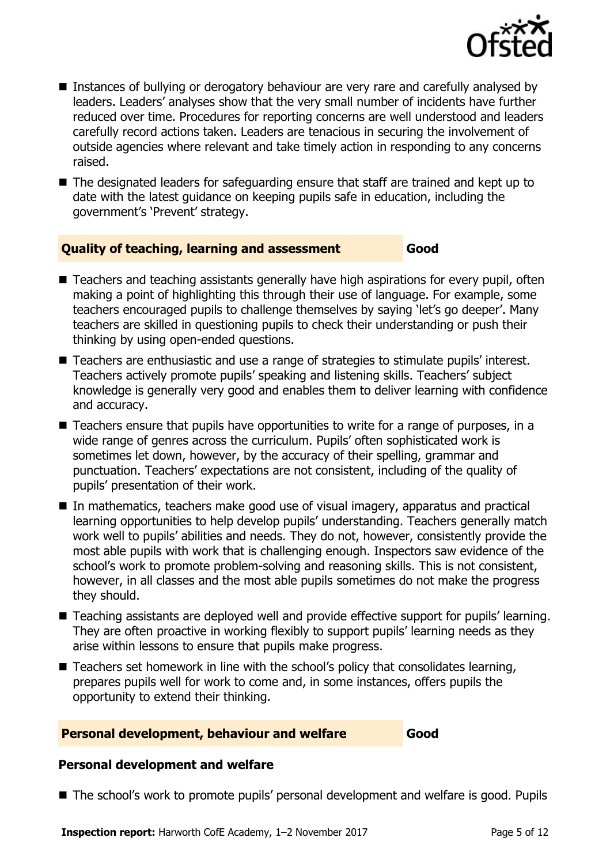

- Instances of bullying or derogatory behaviour are very rare and carefully analysed by leaders. Leaders' analyses show that the very small number of incidents have further reduced over time. Procedures for reporting concerns are well understood and leaders carefully record actions taken. Leaders are tenacious in securing the involvement of outside agencies where relevant and take timely action in responding to any concerns raised.
- The designated leaders for safeguarding ensure that staff are trained and kept up to date with the latest guidance on keeping pupils safe in education, including the government's 'Prevent' strategy.

#### **Quality of teaching, learning and assessment Good**

- Teachers and teaching assistants generally have high aspirations for every pupil, often making a point of highlighting this through their use of language. For example, some teachers encouraged pupils to challenge themselves by saying 'let's go deeper'. Many teachers are skilled in questioning pupils to check their understanding or push their thinking by using open-ended questions.
- Teachers are enthusiastic and use a range of strategies to stimulate pupils' interest. Teachers actively promote pupils' speaking and listening skills. Teachers' subject knowledge is generally very good and enables them to deliver learning with confidence and accuracy.
- **Teachers ensure that pupils have opportunities to write for a range of purposes, in a** wide range of genres across the curriculum. Pupils' often sophisticated work is sometimes let down, however, by the accuracy of their spelling, grammar and punctuation. Teachers' expectations are not consistent, including of the quality of pupils' presentation of their work.
- In mathematics, teachers make good use of visual imagery, apparatus and practical learning opportunities to help develop pupils' understanding. Teachers generally match work well to pupils' abilities and needs. They do not, however, consistently provide the most able pupils with work that is challenging enough. Inspectors saw evidence of the school's work to promote problem-solving and reasoning skills. This is not consistent, however, in all classes and the most able pupils sometimes do not make the progress they should.
- Teaching assistants are deployed well and provide effective support for pupils' learning. They are often proactive in working flexibly to support pupils' learning needs as they arise within lessons to ensure that pupils make progress.
- $\blacksquare$  Teachers set homework in line with the school's policy that consolidates learning, prepares pupils well for work to come and, in some instances, offers pupils the opportunity to extend their thinking.

#### **Personal development, behaviour and welfare Good**

#### **Personal development and welfare**

■ The school's work to promote pupils' personal development and welfare is good. Pupils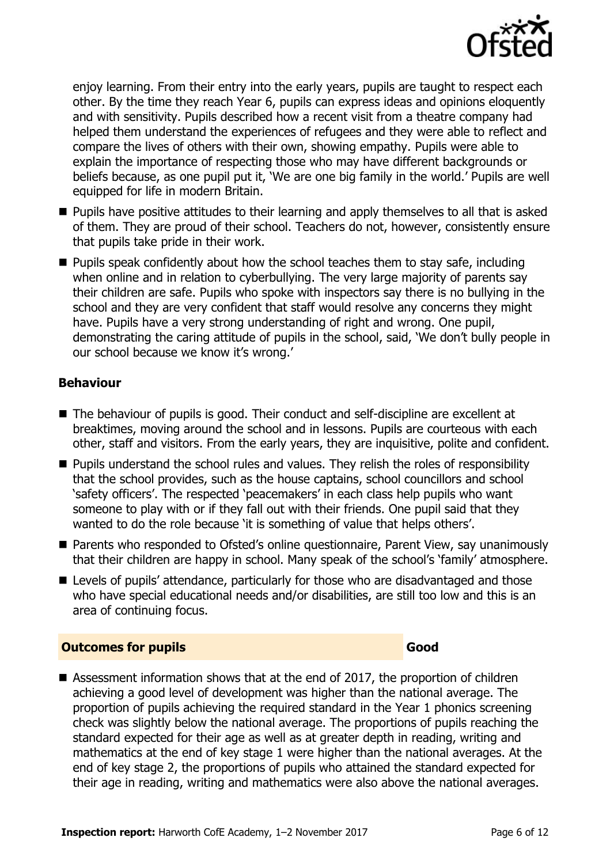

enjoy learning. From their entry into the early years, pupils are taught to respect each other. By the time they reach Year 6, pupils can express ideas and opinions eloquently and with sensitivity. Pupils described how a recent visit from a theatre company had helped them understand the experiences of refugees and they were able to reflect and compare the lives of others with their own, showing empathy. Pupils were able to explain the importance of respecting those who may have different backgrounds or beliefs because, as one pupil put it, 'We are one big family in the world.' Pupils are well equipped for life in modern Britain.

- **Pupils have positive attitudes to their learning and apply themselves to all that is asked** of them. They are proud of their school. Teachers do not, however, consistently ensure that pupils take pride in their work.
- $\blacksquare$  Pupils speak confidently about how the school teaches them to stay safe, including when online and in relation to cyberbullying. The very large majority of parents say their children are safe. Pupils who spoke with inspectors say there is no bullying in the school and they are very confident that staff would resolve any concerns they might have. Pupils have a very strong understanding of right and wrong. One pupil, demonstrating the caring attitude of pupils in the school, said, 'We don't bully people in our school because we know it's wrong.'

#### **Behaviour**

- The behaviour of pupils is good. Their conduct and self-discipline are excellent at breaktimes, moving around the school and in lessons. Pupils are courteous with each other, staff and visitors. From the early years, they are inquisitive, polite and confident.
- **Pupils understand the school rules and values. They relish the roles of responsibility** that the school provides, such as the house captains, school councillors and school 'safety officers'. The respected 'peacemakers' in each class help pupils who want someone to play with or if they fall out with their friends. One pupil said that they wanted to do the role because 'it is something of value that helps others'.
- Parents who responded to Ofsted's online questionnaire, Parent View, say unanimously that their children are happy in school. Many speak of the school's 'family' atmosphere.
- Levels of pupils' attendance, particularly for those who are disadvantaged and those who have special educational needs and/or disabilities, are still too low and this is an area of continuing focus.

#### **Outcomes for pupils Good**

■ Assessment information shows that at the end of 2017, the proportion of children achieving a good level of development was higher than the national average. The proportion of pupils achieving the required standard in the Year 1 phonics screening check was slightly below the national average. The proportions of pupils reaching the standard expected for their age as well as at greater depth in reading, writing and mathematics at the end of key stage 1 were higher than the national averages. At the end of key stage 2, the proportions of pupils who attained the standard expected for their age in reading, writing and mathematics were also above the national averages.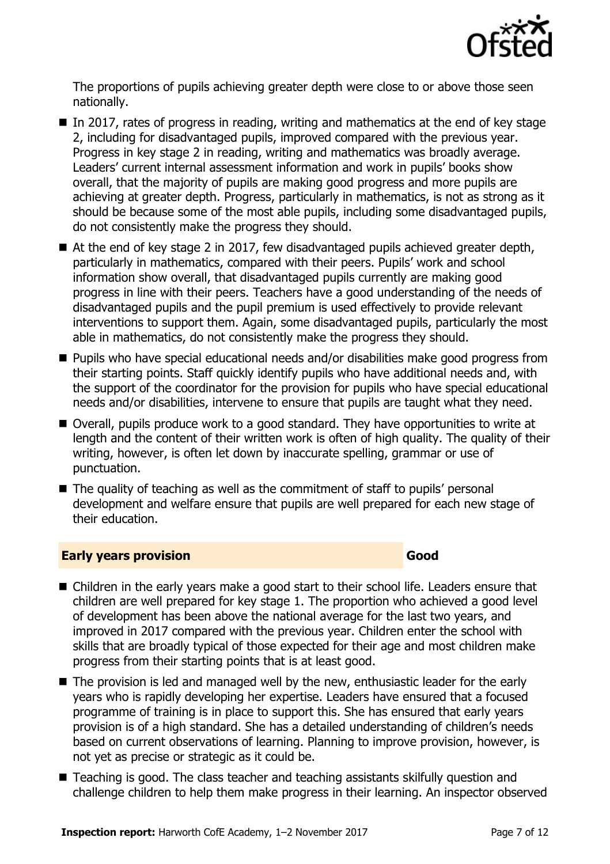

The proportions of pupils achieving greater depth were close to or above those seen nationally.

- $\blacksquare$  In 2017, rates of progress in reading, writing and mathematics at the end of key stage 2, including for disadvantaged pupils, improved compared with the previous year. Progress in key stage 2 in reading, writing and mathematics was broadly average. Leaders' current internal assessment information and work in pupils' books show overall, that the majority of pupils are making good progress and more pupils are achieving at greater depth. Progress, particularly in mathematics, is not as strong as it should be because some of the most able pupils, including some disadvantaged pupils, do not consistently make the progress they should.
- At the end of key stage 2 in 2017, few disadvantaged pupils achieved greater depth, particularly in mathematics, compared with their peers. Pupils' work and school information show overall, that disadvantaged pupils currently are making good progress in line with their peers. Teachers have a good understanding of the needs of disadvantaged pupils and the pupil premium is used effectively to provide relevant interventions to support them. Again, some disadvantaged pupils, particularly the most able in mathematics, do not consistently make the progress they should.
- Pupils who have special educational needs and/or disabilities make good progress from their starting points. Staff quickly identify pupils who have additional needs and, with the support of the coordinator for the provision for pupils who have special educational needs and/or disabilities, intervene to ensure that pupils are taught what they need.
- Overall, pupils produce work to a good standard. They have opportunities to write at length and the content of their written work is often of high quality. The quality of their writing, however, is often let down by inaccurate spelling, grammar or use of punctuation.
- The quality of teaching as well as the commitment of staff to pupils' personal development and welfare ensure that pupils are well prepared for each new stage of their education.

#### **Early years provision Good Good**

- Children in the early years make a good start to their school life. Leaders ensure that children are well prepared for key stage 1. The proportion who achieved a good level of development has been above the national average for the last two years, and improved in 2017 compared with the previous year. Children enter the school with skills that are broadly typical of those expected for their age and most children make progress from their starting points that is at least good.
- The provision is led and managed well by the new, enthusiastic leader for the early years who is rapidly developing her expertise. Leaders have ensured that a focused programme of training is in place to support this. She has ensured that early years provision is of a high standard. She has a detailed understanding of children's needs based on current observations of learning. Planning to improve provision, however, is not yet as precise or strategic as it could be.
- Teaching is good. The class teacher and teaching assistants skilfully question and challenge children to help them make progress in their learning. An inspector observed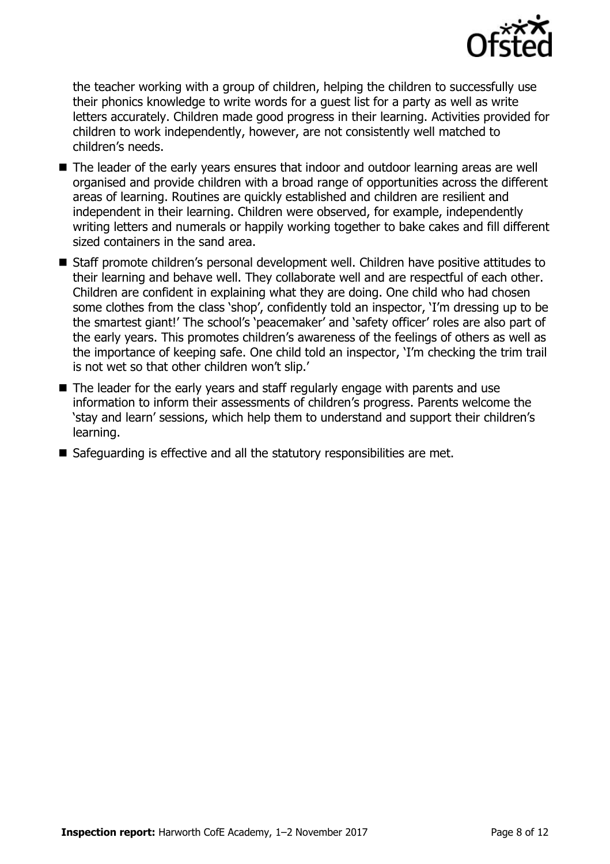

the teacher working with a group of children, helping the children to successfully use their phonics knowledge to write words for a guest list for a party as well as write letters accurately. Children made good progress in their learning. Activities provided for children to work independently, however, are not consistently well matched to children's needs.

- The leader of the early vears ensures that indoor and outdoor learning areas are well organised and provide children with a broad range of opportunities across the different areas of learning. Routines are quickly established and children are resilient and independent in their learning. Children were observed, for example, independently writing letters and numerals or happily working together to bake cakes and fill different sized containers in the sand area.
- Staff promote children's personal development well. Children have positive attitudes to their learning and behave well. They collaborate well and are respectful of each other. Children are confident in explaining what they are doing. One child who had chosen some clothes from the class 'shop', confidently told an inspector, 'I'm dressing up to be the smartest giant!' The school's 'peacemaker' and 'safety officer' roles are also part of the early years. This promotes children's awareness of the feelings of others as well as the importance of keeping safe. One child told an inspector, 'I'm checking the trim trail is not wet so that other children won't slip.'
- The leader for the early years and staff regularly engage with parents and use information to inform their assessments of children's progress. Parents welcome the 'stay and learn' sessions, which help them to understand and support their children's learning.
- Safeguarding is effective and all the statutory responsibilities are met.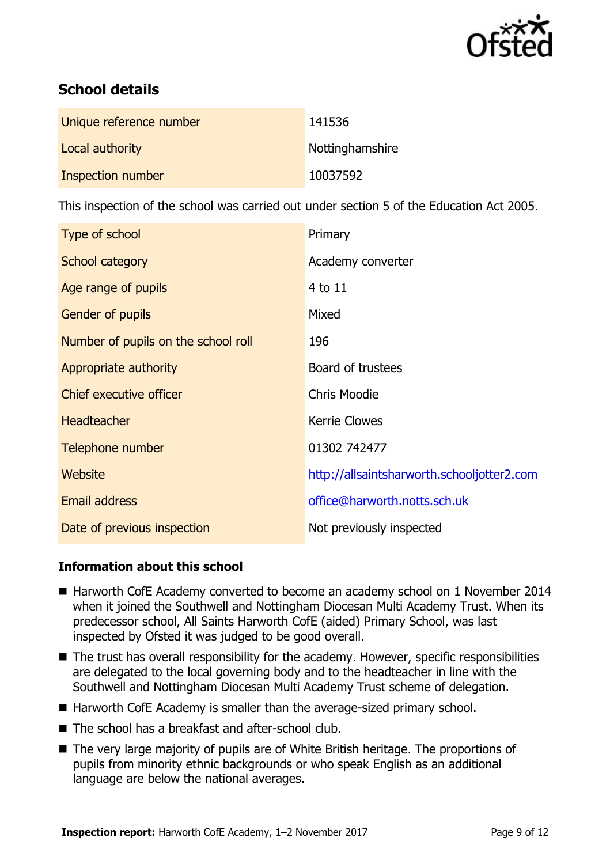

# **School details**

| Unique reference number | 141536          |
|-------------------------|-----------------|
| Local authority         | Nottinghamshire |
| Inspection number       | 10037592        |

This inspection of the school was carried out under section 5 of the Education Act 2005.

| Type of school                      | Primary                                    |
|-------------------------------------|--------------------------------------------|
| School category                     | Academy converter                          |
| Age range of pupils                 | 4 to 11                                    |
| Gender of pupils                    | Mixed                                      |
| Number of pupils on the school roll | 196                                        |
| Appropriate authority               | Board of trustees                          |
| Chief executive officer             | <b>Chris Moodie</b>                        |
| <b>Headteacher</b>                  | <b>Kerrie Clowes</b>                       |
| Telephone number                    | 01302 742477                               |
| Website                             | http://allsaintsharworth.schooljotter2.com |
| <b>Email address</b>                | office@harworth.notts.sch.uk               |
| Date of previous inspection         | Not previously inspected                   |

#### **Information about this school**

- Harworth CofE Academy converted to become an academy school on 1 November 2014 when it joined the Southwell and Nottingham Diocesan Multi Academy Trust. When its predecessor school, All Saints Harworth CofE (aided) Primary School, was last inspected by Ofsted it was judged to be good overall.
- The trust has overall responsibility for the academy. However, specific responsibilities are delegated to the local governing body and to the headteacher in line with the Southwell and Nottingham Diocesan Multi Academy Trust scheme of delegation.
- Harworth CofE Academy is smaller than the average-sized primary school.
- The school has a breakfast and after-school club.
- The very large majority of pupils are of White British heritage. The proportions of pupils from minority ethnic backgrounds or who speak English as an additional language are below the national averages.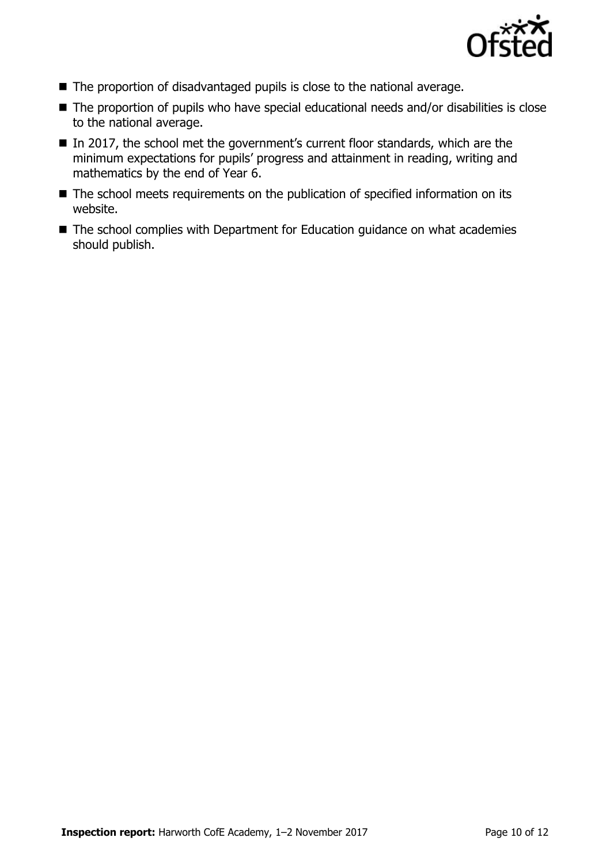

- The proportion of disadvantaged pupils is close to the national average.
- The proportion of pupils who have special educational needs and/or disabilities is close to the national average.
- In 2017, the school met the government's current floor standards, which are the minimum expectations for pupils' progress and attainment in reading, writing and mathematics by the end of Year 6.
- The school meets requirements on the publication of specified information on its website.
- The school complies with Department for Education guidance on what academies should publish.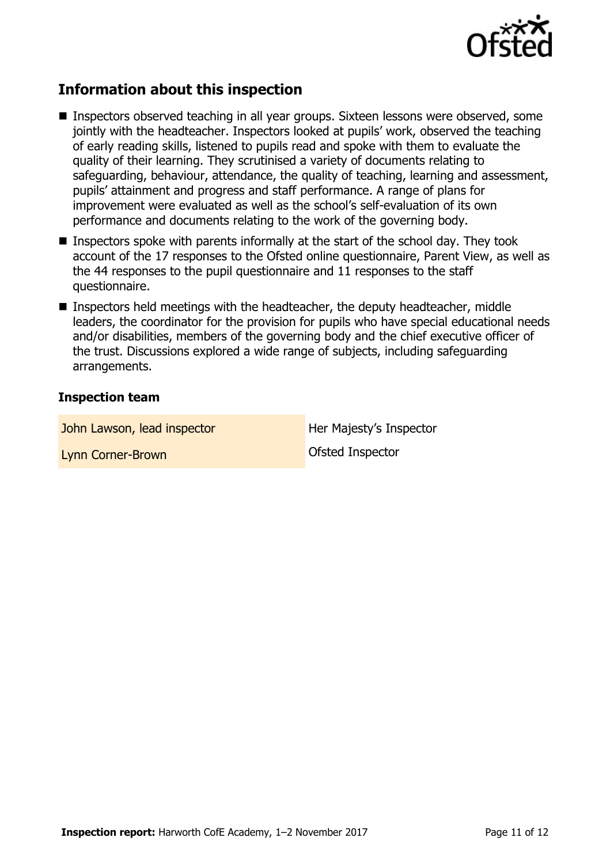

# **Information about this inspection**

- Inspectors observed teaching in all year groups. Sixteen lessons were observed, some jointly with the headteacher. Inspectors looked at pupils' work, observed the teaching of early reading skills, listened to pupils read and spoke with them to evaluate the quality of their learning. They scrutinised a variety of documents relating to safeguarding, behaviour, attendance, the quality of teaching, learning and assessment, pupils' attainment and progress and staff performance. A range of plans for improvement were evaluated as well as the school's self-evaluation of its own performance and documents relating to the work of the governing body.
- **Inspectors spoke with parents informally at the start of the school day. They took** account of the 17 responses to the Ofsted online questionnaire, Parent View, as well as the 44 responses to the pupil questionnaire and 11 responses to the staff questionnaire.
- Inspectors held meetings with the headteacher, the deputy headteacher, middle leaders, the coordinator for the provision for pupils who have special educational needs and/or disabilities, members of the governing body and the chief executive officer of the trust. Discussions explored a wide range of subjects, including safeguarding arrangements.

#### **Inspection team**

John Lawson, lead inspector **Her Majesty's Inspector** 

Lynn Corner-Brown Corner Brown Corner Corner Corner Corner Corner Corner Corner Corner Corner Corner Corner Co